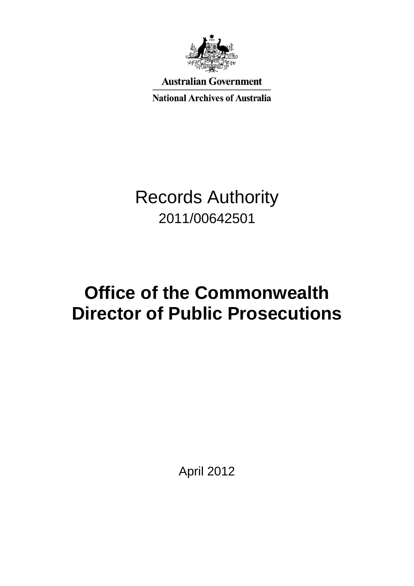

**Australian Government** 

**National Archives of Australia** 

# Records Authority 2011/00642501

# **Office of the Commonwealth Director of Public Prosecutions**

April 2012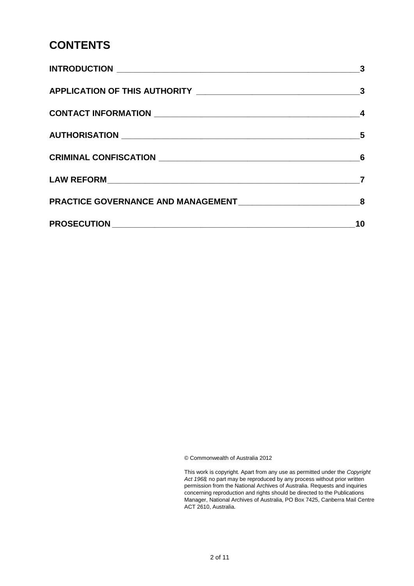### **CONTENTS**

| 3                          |
|----------------------------|
|                            |
|                            |
| $\overline{\phantom{1}}$ 5 |
|                            |
|                            |
|                            |
| 10                         |

© Commonwealth of Australia 2012

 This work is copyright. Apart from any use as permitted under the *Copyright Act 1968,* no part may be reproduced by any process without prior written permission from the National Archives of Australia. Requests and inquiries concerning reproduction and rights should be directed to the Publications Manager, National Archives of Australia, PO Box 7425, Canberra Mail Centre ACT 2610, Australia.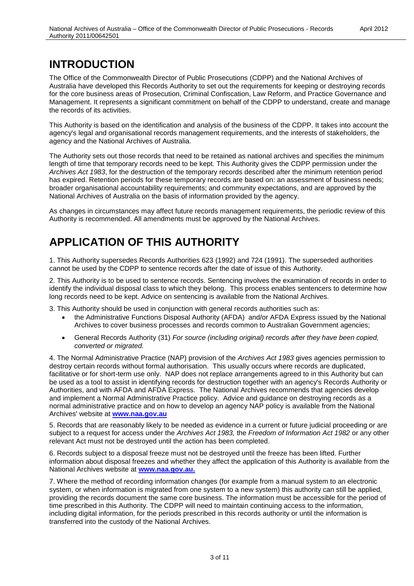### **INTRODUCTION**

 The Office of the Commonwealth Director of Public Prosecutions (CDPP) and the National Archives of Management. It represents a significant commitment on behalf of the CDPP to understand, create and manage the records of its activities. Australia have developed this Records Authority to set out the requirements for keeping or destroying records for the core business areas of Prosecution, Criminal Confiscation, Law Reform, and Practice Governance and

 This Authority is based on the identification and analysis of the business of the CDPP. It takes into account the agency and the National Archives of Australia. agency's legal and organisational records management requirements, and the interests of stakeholders, the

 length of time that temporary records need to be kept. This Authority gives the CDPP permission under the *Archives Act 1983*, for the destruction of the temporary records described after the minimum retention period National Archives of Australia on the basis of information provided by the agency. The Authority sets out those records that need to be retained as national archives and specifies the minimum has expired. Retention periods for these temporary records are based on: an assessment of business needs; broader organisational accountability requirements; and community expectations, and are approved by the

 Authority is recommended. All amendments must be approved by the National Archives. As changes in circumstances may affect future records management requirements, the periodic review of this

## **APPLICATION OF THIS AUTHORITY**

 1. This Authority supersedes Records Authorities 623 (1992) and 724 (1991). The superseded authorities cannot be used by the CDPP to sentence records after the date of issue of this Authority.

 2. This Authority is to be used to sentence records. Sentencing involves the examination of records in order to identify the individual disposal class to which they belong. This process enables sentencers to determine how long records need to be kept. Advice on sentencing is available from the National Archives.

3. This Authority should be used in conjunction with general records authorities such as:

- $\bullet$  the Administrative Functions Disposal Authority (AFDA) and/or AFDA Express issued by the National Archives to cover business processes and records common to Australian Government agencies;
- General Records Authority (31) *For source (including original) records after they have been copied, converted or migrated.*

 destroy certain records without formal authorisation. This usually occurs where records are duplicated, facilitative or for short-term use only. NAP does not replace arrangements agreed to in this Authority but can be used as a tool to assist in identifying records for destruction together with an agency's Records Authority or Authorities, and with AFDA and AFDA Express. The National Archives recommends that agencies develop and implement a Normal Administrative Practice policy. Advice and guidance on destroying records as a normal administrative practice and on how to develop an agency NAP policy is available from the National 4. The Normal Administrative Practice (NAP) provision of the *Archives Act 1983* gives agencies permission to Archives' website at **[www.naa.gov.au](http://www.naa.gov.au/)** 

 5. Records that are reasonably likely to be needed as evidence in a current or future judicial proceeding or are  subject to a request for access under the *Archives Act 1983,* the *Freedom of Information Act 1982* or any other relevant Act must not be destroyed until the action has been completed.

 National Archives website at **[www.naa.gov.au.](http://www.naa.gov.au/)**  6. Records subject to a disposal freeze must not be destroyed until the freeze has been lifted. Further information about disposal freezes and whether they affect the application of this Authority is available from the

 system, or when information is migrated from one system to a new system) this authority can still be applied, providing the records document the same core business. The information must be accessible for the period of time prescribed in this Authority. The CDPP will need to maintain continuing access to the information, 7. Where the method of recording information changes (for example from a manual system to an electronic including digital information, for the periods prescribed in this records authority or until the information is transferred into the custody of the National Archives.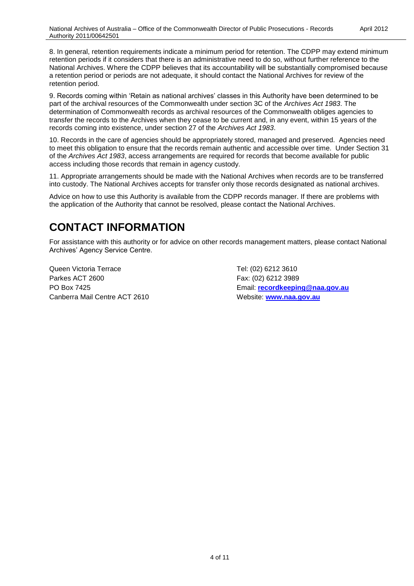a retention period or periods are not adequate, it should contact the National Archives for review of the 8. In general, retention requirements indicate a minimum period for retention. The CDPP may extend minimum retention periods if it considers that there is an administrative need to do so, without further reference to the National Archives. Where the CDPP believes that its accountability will be substantially compromised because retention period.

 9. Records coming within 'Retain as national archives' classes in this Authority have been determined to be part of the archival resources of the Commonwealth under section 3C of the *Archives Act 1983*. The transfer the records to the Archives when they cease to be current and, in any event, within 15 years of the determination of Commonwealth records as archival resources of the Commonwealth obliges agencies to records coming into existence, under section 27 of the *Archives Act 1983*.

 access including those records that remain in agency custody. 10. Records in the care of agencies should be appropriately stored, managed and preserved. Agencies need to meet this obligation to ensure that the records remain authentic and accessible over time. Under Section 31 of the *Archives Act 1983*, access arrangements are required for records that become available for public

 11. Appropriate arrangements should be made with the National Archives when records are to be transferred into custody. The National Archives accepts for transfer only those records designated as national archives.

 Advice on how to use this Authority is available from the CDPP records manager. If there are problems with the application of the Authority that cannot be resolved, please contact the National Archives.

### **CONTACT INFORMATION**

 Archives' Agency Service Centre. For assistance with this authority or for advice on other records management matters, please contact National

Queen Victoria Terrace Tel: (02) 6212 3610 Parkes ACT 2600 Fax: (02) 6212 3989 Canberra Mail Centre ACT 2610 Website: **[www.naa.gov.au](http://www.naa.gov.au/)** 

PO Box 7425 Email: **[recordkeeping@naa.gov.au](mailto:recordkeeping@naa.gov.au)**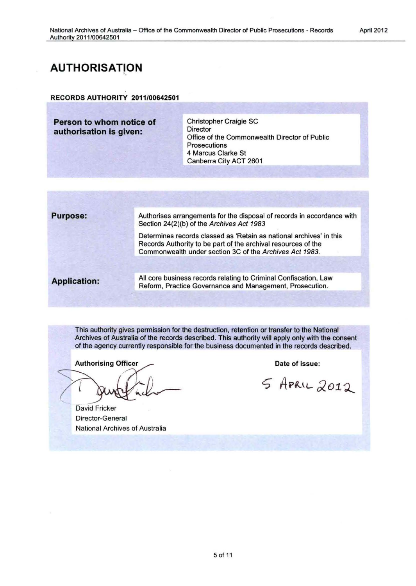### **AUTHORISATION**

#### RECORDS AUTHORITY 2011/00642501

**Person to whom notice of Christopher Craigie SC**<br> **Prectice Anglician** *prector* authorisation is given:

Office of the Commonwealth Director of Public Prosecutions 4 Marcus Clarke St Canberra City ACT 2601

**Purpose:** Authorises arrangements for the disposal of records in accordance with Section 24(2)(b) of the Archives Act 1983

> Determines records classed as 'Retain as national archives' in this Records Authority to be part of the archival resources of the Commonwealth under section 3C of the Archives Act 1983.

All core business records relating to Criminal Confiscation, Law **Application:** Reform, Practice Governance and Management, Prosecution.

This authority gives permission for the destruction, retention or transfer to the National Archives of Australia of the records described. This authority will apply only with the consent of the agency currently responsible for the business documented in the records described.

**Authorising Officer** 

David Fricker Director-General National Archives of Australia

Date of issue:

5 APRIL 2012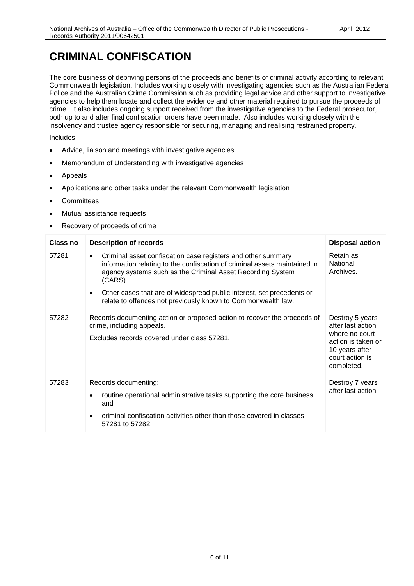## **CRIMINAL CONFISCATION**

 Police and the Australian Crime Commission such as providing legal advice and other support to investigative crime. It also includes ongoing support received from the investigative agencies to the Federal prosecutor, both up to and after final confiscation orders have been made. Also includes working closely with the The core business of depriving persons of the proceeds and benefits of criminal activity according to relevant Commonwealth legislation. Includes working closely with investigating agencies such as the Australian Federal agencies to help them locate and collect the evidence and other material required to pursue the proceeds of insolvency and trustee agency responsible for securing, managing and realising restrained property.

- Advice, liaison and meetings with investigative agencies
- Memorandum of Understanding with investigative agencies
- Appeals
- Applications and other tasks under the relevant Commonwealth legislation
- **Committees**
- Mutual assistance requests
- Recovery of proceeds of crime

| <b>Class no</b> | <b>Description of records</b>                                                                                                                                                                                                                                                                                                                                                         | <b>Disposal action</b>                                                                                                          |
|-----------------|---------------------------------------------------------------------------------------------------------------------------------------------------------------------------------------------------------------------------------------------------------------------------------------------------------------------------------------------------------------------------------------|---------------------------------------------------------------------------------------------------------------------------------|
| 57281           | Criminal asset confiscation case registers and other summary<br>$\bullet$<br>information relating to the confiscation of criminal assets maintained in<br>agency systems such as the Criminal Asset Recording System<br>(CARS).<br>Other cases that are of widespread public interest, set precedents or<br>$\bullet$<br>relate to offences not previously known to Commonwealth law. | Retain as<br>National<br>Archives.                                                                                              |
| 57282           | Records documenting action or proposed action to recover the proceeds of<br>crime, including appeals.<br>Excludes records covered under class 57281.                                                                                                                                                                                                                                  | Destroy 5 years<br>after last action<br>where no court<br>action is taken or<br>10 years after<br>court action is<br>completed. |
| 57283           | Records documenting:<br>routine operational administrative tasks supporting the core business;<br>and<br>criminal confiscation activities other than those covered in classes<br>57281 to 57282.                                                                                                                                                                                      | Destroy 7 years<br>after last action                                                                                            |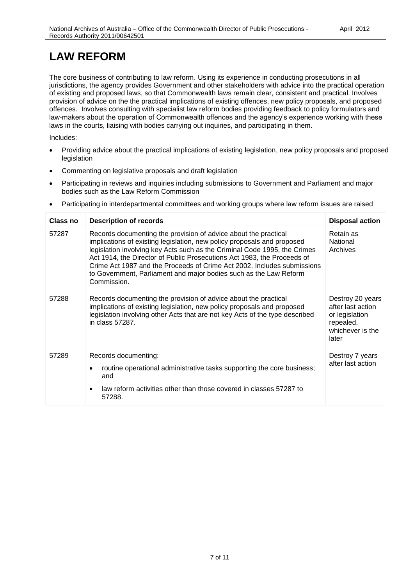## **LAW REFORM**

 The core business of contributing to law reform. Using its experience in conducting prosecutions in all laws in the courts, liaising with bodies carrying out inquiries, and participating in them. jurisdictions, the agency provides Government and other stakeholders with advice into the practical operation of existing and proposed laws, so that Commonwealth laws remain clear, consistent and practical. Involves provision of advice on the the practical implications of existing offences, new policy proposals, and proposed offences. Involves consulting with specialist law reform bodies providing feedback to policy formulators and law-makers about the operation of Commonwealth offences and the agency's experience working with these

- Providing advice about the practical implications of existing legislation, new policy proposals and proposed legislation
- Commenting on legislative proposals and draft legislation
- Participating in reviews and inquiries including submissions to Government and Parliament and major bodies such as the Law Reform Commission
- Participating in interdepartmental committees and working groups where law reform issues are raised

| Class no | <b>Description of records</b>                                                                                                                                                                                                                                                                                                                                                                                                                                     | <b>Disposal action</b>                                                                            |
|----------|-------------------------------------------------------------------------------------------------------------------------------------------------------------------------------------------------------------------------------------------------------------------------------------------------------------------------------------------------------------------------------------------------------------------------------------------------------------------|---------------------------------------------------------------------------------------------------|
| 57287    | Records documenting the provision of advice about the practical<br>implications of existing legislation, new policy proposals and proposed<br>legislation involving key Acts such as the Criminal Code 1995, the Crimes<br>Act 1914, the Director of Public Prosecutions Act 1983, the Proceeds of<br>Crime Act 1987 and the Proceeds of Crime Act 2002. Includes submissions<br>to Government, Parliament and major bodies such as the Law Reform<br>Commission. | Retain as<br>National<br>Archives                                                                 |
| 57288    | Records documenting the provision of advice about the practical<br>implications of existing legislation, new policy proposals and proposed<br>legislation involving other Acts that are not key Acts of the type described<br>in class 57287.                                                                                                                                                                                                                     | Destroy 20 years<br>after last action<br>or legislation<br>repealed,<br>whichever is the<br>later |
| 57289    | Records documenting:<br>routine operational administrative tasks supporting the core business;<br>and<br>law reform activities other than those covered in classes 57287 to<br>57288.                                                                                                                                                                                                                                                                             | Destroy 7 years<br>after last action                                                              |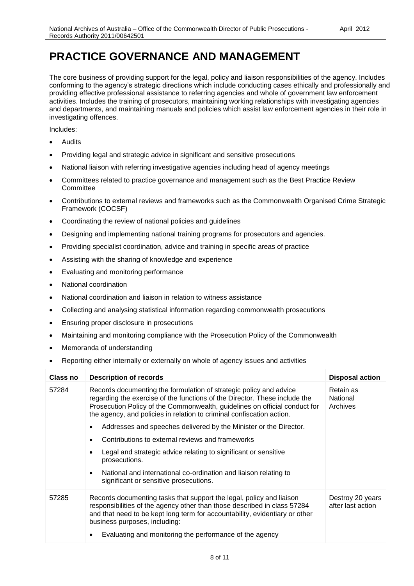### **PRACTICE GOVERNANCE AND MANAGEMENT**

 investigating offences. The core business of providing support for the legal, policy and liaison responsibilities of the agency. Includes conforming to the agency's strategic directions which include conducting cases ethically and professionally and providing effective professional assistance to referring agencies and whole of government law enforcement activities. Includes the training of prosecutors, maintaining working relationships with investigating agencies and departments, and maintaining manuals and policies which assist law enforcement agencies in their role in

- Audits
- Providing legal and strategic advice in significant and sensitive prosecutions
- National liaison with referring investigative agencies including head of agency meetings
- Committees related to practice governance and management such as the Best Practice Review **Committee**
- Contributions to external reviews and frameworks such as the Commonwealth Organised Crime Strategic Framework (COCSF)
- Coordinating the review of national policies and guidelines
- Designing and implementing national training programs for prosecutors and agencies.
- Providing specialist coordination, advice and training in specific areas of practice
- Assisting with the sharing of knowledge and experience
- Evaluating and monitoring performance
- National coordination
- National coordination and liaison in relation to witness assistance
- Collecting and analysing statistical information regarding commonwealth prosecutions
- Ensuring proper disclosure in prosecutions
- Maintaining and monitoring compliance with the Prosecution Policy of the Commonwealth
- Memoranda of understanding
- Reporting either internally or externally on whole of agency issues and activities

| Class no | <b>Description of records</b>                                                                                                                                                                                                                                                                           | <b>Disposal action</b>                |
|----------|---------------------------------------------------------------------------------------------------------------------------------------------------------------------------------------------------------------------------------------------------------------------------------------------------------|---------------------------------------|
| 57284    | Records documenting the formulation of strategic policy and advice<br>regarding the exercise of the functions of the Director. These include the<br>Prosecution Policy of the Commonwealth, guidelines on official conduct for<br>the agency, and policies in relation to criminal confiscation action. | Retain as<br>National<br>Archives     |
|          | Addresses and speeches delivered by the Minister or the Director.                                                                                                                                                                                                                                       |                                       |
|          | Contributions to external reviews and frameworks                                                                                                                                                                                                                                                        |                                       |
|          | Legal and strategic advice relating to significant or sensitive<br>prosecutions.                                                                                                                                                                                                                        |                                       |
|          | National and international co-ordination and liaison relating to<br>$\bullet$<br>significant or sensitive prosecutions.                                                                                                                                                                                 |                                       |
| 57285    | Records documenting tasks that support the legal, policy and liaison<br>responsibilities of the agency other than those described in class 57284<br>and that need to be kept long term for accountability, evidentiary or other<br>business purposes, including:                                        | Destroy 20 years<br>after last action |
|          | Evaluating and monitoring the performance of the agency                                                                                                                                                                                                                                                 |                                       |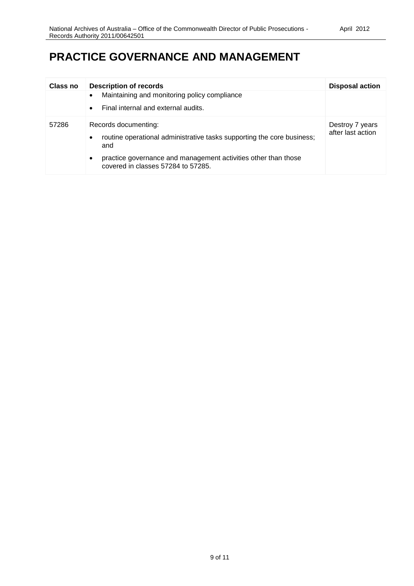### **PRACTICE GOVERNANCE AND MANAGEMENT**

| Class no | <b>Description of records</b><br>Maintaining and monitoring policy compliance<br>Final internal and external audits.<br>$\bullet$ | <b>Disposal action</b>               |
|----------|-----------------------------------------------------------------------------------------------------------------------------------|--------------------------------------|
| 57286    | Records documenting:<br>routine operational administrative tasks supporting the core business;<br>$\bullet$<br>and                | Destroy 7 years<br>after last action |
|          | practice governance and management activities other than those<br>$\bullet$<br>covered in classes 57284 to 57285.                 |                                      |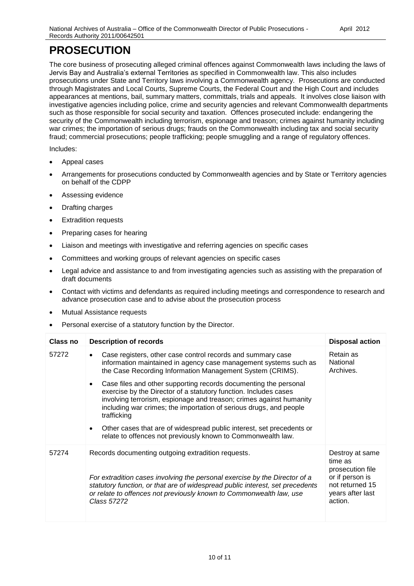# **PROSECUTION**

 prosecutions under State and Territory laws involving a Commonwealth agency. Prosecutions are conducted through Magistrates and Local Courts, Supreme Courts, the Federal Court and the High Court and includes security of the Commonwealth including terrorism, espionage and treason; crimes against humanity including fraud; commercial prosecutions; people trafficking; people smuggling and a range of regulatory offences. The core business of prosecuting alleged criminal offences against Commonwealth laws including the laws of Jervis Bay and Australia's external Territories as specified in Commonwealth law. This also includes appearances at mentions, bail, summary matters, committals, trials and appeals. It involves close liaison with investigative agencies including police, crime and security agencies and relevant Commonwealth departments such as those responsible for social security and taxation. Offences prosecuted include: endangering the war crimes; the importation of serious drugs; frauds on the Commonwealth including tax and social security

- Appeal cases
- Arrangements for prosecutions conducted by Commonwealth agencies and by State or Territory agencies on behalf of the CDPP
- Assessing evidence
- Drafting charges
- Extradition requests
- Preparing cases for hearing
- Liaison and meetings with investigative and referring agencies on specific cases
- Committees and working groups of relevant agencies on specific cases
- Legal advice and assistance to and from investigating agencies such as assisting with the preparation of draft documents
- Contact with victims and defendants as required including meetings and correspondence to research and advance prosecution case and to advise about the prosecution process
- Mutual Assistance requests
- Personal exercise of a statutory function by the Director.

| Class no | <b>Description of records</b>                                                                                                                                                                                                                                                                                                                                                                                                             | <b>Disposal action</b>                                                                                              |
|----------|-------------------------------------------------------------------------------------------------------------------------------------------------------------------------------------------------------------------------------------------------------------------------------------------------------------------------------------------------------------------------------------------------------------------------------------------|---------------------------------------------------------------------------------------------------------------------|
| 57272    | Case registers, other case control records and summary case<br>$\bullet$<br>information maintained in agency case management systems such as<br>the Case Recording Information Management System (CRIMS).                                                                                                                                                                                                                                 | Retain as<br>National<br>Archives.                                                                                  |
|          | Case files and other supporting records documenting the personal<br>exercise by the Director of a statutory function. Includes cases<br>involving terrorism, espionage and treason; crimes against humanity<br>including war crimes; the importation of serious drugs, and people<br>trafficking<br>Other cases that are of widespread public interest, set precedents or<br>relate to offences not previously known to Commonwealth law. |                                                                                                                     |
| 57274    | Records documenting outgoing extradition requests.<br>For extradition cases involving the personal exercise by the Director of a<br>statutory function, or that are of widespread public interest, set precedents<br>or relate to offences not previously known to Commonwealth law, use<br>Class 57272                                                                                                                                   | Destroy at same<br>time as<br>prosecution file<br>or if person is<br>not returned 15<br>years after last<br>action. |